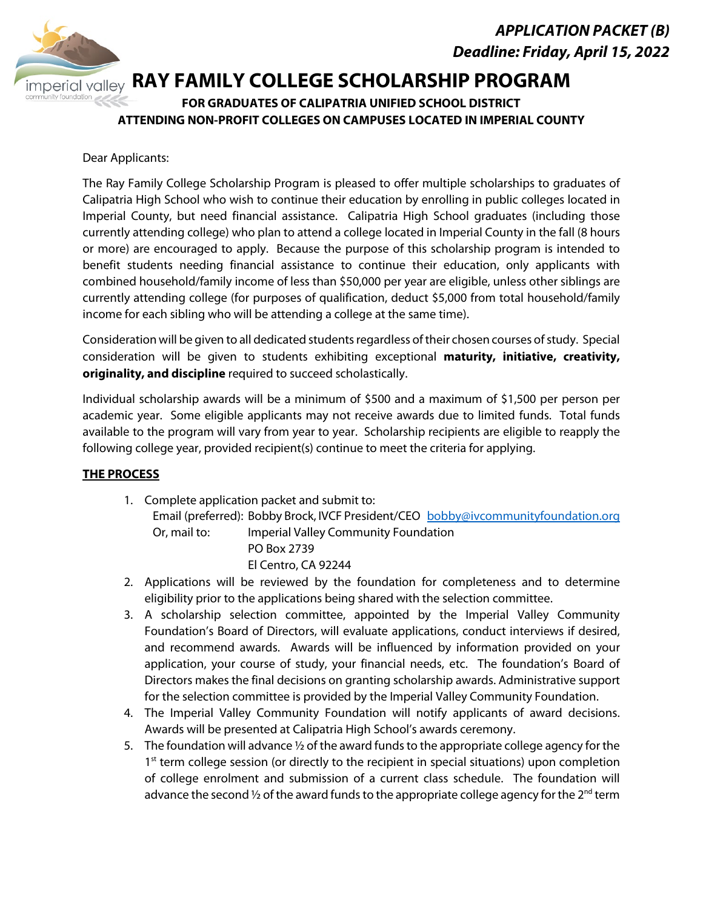

# **Perial valley RAY FAMILY COLLEGE SCHOLARSHIP PROGRAM**

# **FOR GRADUATES OF CALIPATRIA UNIFIED SCHOOL DISTRICT ATTENDING NON-PROFIT COLLEGES ON CAMPUSES LOCATED IN IMPERIAL COUNTY**

### Dear Applicants:

The Ray Family College Scholarship Program is pleased to offer multiple scholarships to graduates of Calipatria High School who wish to continue their education by enrolling in public colleges located in Imperial County, but need financial assistance. Calipatria High School graduates (including those currently attending college) who plan to attend a college located in Imperial County in the fall (8 hours or more) are encouraged to apply. Because the purpose of this scholarship program is intended to benefit students needing financial assistance to continue their education, only applicants with combined household/family income of less than \$50,000 per year are eligible, unless other siblings are currently attending college (for purposes of qualification, deduct \$5,000 from total household/family income for each sibling who will be attending a college at the same time).

Consideration will be given to all dedicated students regardless of their chosen courses of study. Special consideration will be given to students exhibiting exceptional **maturity, initiative, creativity, originality, and discipline** required to succeed scholastically.

Individual scholarship awards will be a minimum of \$500 and a maximum of \$1,500 per person per academic year. Some eligible applicants may not receive awards due to limited funds. Total funds available to the program will vary from year to year. Scholarship recipients are eligible to reapply the following college year, provided recipient(s) continue to meet the criteria for applying.

## **THE PROCESS**

- 1. Complete application packet and submit to: Email (preferred): Bobby Brock, IVCF President/CEO bobby@ivcommunityfoundation.org Or, mail to: Imperial Valley Community Foundation PO Box 2739 El Centro, CA 92244
- 2. Applications will be reviewed by the foundation for completeness and to determine eligibility prior to the applications being shared with the selection committee.
- 3. A scholarship selection committee, appointed by the Imperial Valley Community Foundation's Board of Directors, will evaluate applications, conduct interviews if desired, and recommend awards. Awards will be influenced by information provided on your application, your course of study, your financial needs, etc. The foundation's Board of Directors makes the final decisions on granting scholarship awards. Administrative support for the selection committee is provided by the Imperial Valley Community Foundation.
- 4. The Imperial Valley Community Foundation will notify applicants of award decisions. Awards will be presented at Calipatria High School's awards ceremony.
- 5. The foundation will advance  $\frac{1}{2}$  of the award funds to the appropriate college agency for the  $1<sup>st</sup>$  term college session (or directly to the recipient in special situations) upon completion of college enrolment and submission of a current class schedule. The foundation will advance the second  $\frac{1}{2}$  of the award funds to the appropriate college agency for the  $2^{nd}$  term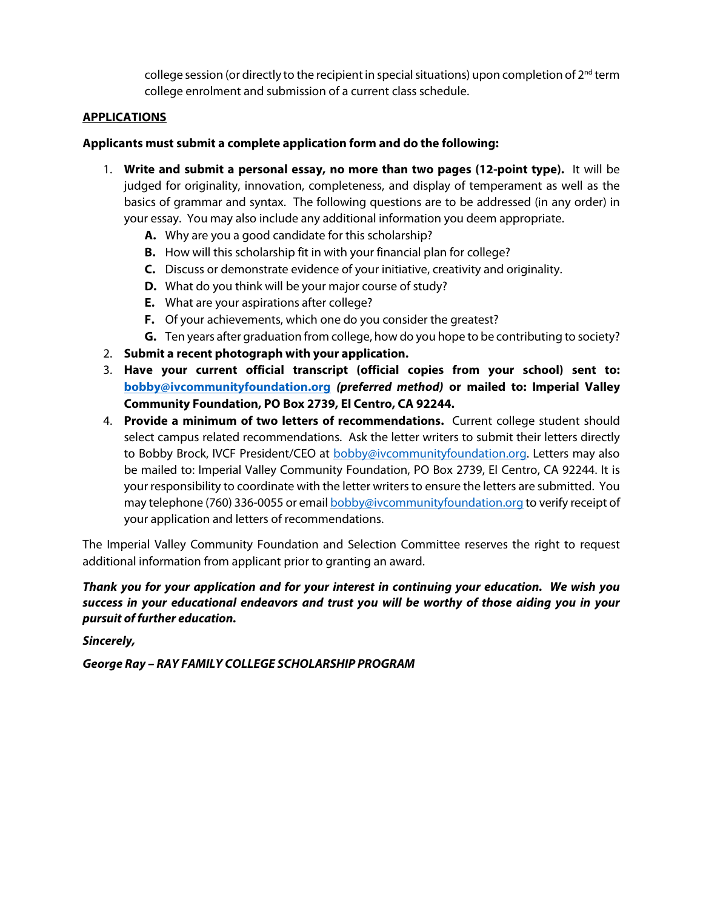college session (or directly to the recipient in special situations) upon completion of  $2<sup>nd</sup>$  term college enrolment and submission of a current class schedule.

#### **APPLICATIONS**

#### **Applicants must submit a complete application form and do the following:**

- 1. **Write and submit a personal essay, no more than two pages (12-point type).** It will be judged for originality, innovation, completeness, and display of temperament as well as the basics of grammar and syntax. The following questions are to be addressed (in any order) in your essay. You may also include any additional information you deem appropriate.
	- **A.** Why are you a good candidate for this scholarship?
	- **B.** How will this scholarship fit in with your financial plan for college?
	- **C.** Discuss or demonstrate evidence of your initiative, creativity and originality.
	- **D.** What do you think will be your major course of study?
	- **E.** What are your aspirations after college?
	- **F.** Of your achievements, which one do you consider the greatest?
	- **G.** Ten years after graduation from college, how do you hope to be contributing to society?
- 2. **Submit a recent photograph with your application.**
- 3. **Have your current official transcript (official copies from your school) sent to: bobby@ivcommunityfoundation.org** *(preferred method)* **or mailed to: Imperial Valley Community Foundation, PO Box 2739, El Centro, CA 92244.**
- 4. **Provide a minimum of two letters of recommendations.** Current college student should select campus related recommendations. Ask the letter writers to submit their letters directly to Bobby Brock, IVCF President/CEO at **bobby@ivcommunityfoundation.org.** Letters may also be mailed to: Imperial Valley Community Foundation, PO Box 2739, El Centro, CA 92244. It is your responsibility to coordinate with the letter writers to ensure the letters are submitted. You may telephone (760) 336-0055 or email **bobby@ivcommunityfoundation.org** to verify receipt of your application and letters of recommendations.

The Imperial Valley Community Foundation and Selection Committee reserves the right to request additional information from applicant prior to granting an award.

#### *Thank you for your application and for your interest in continuing your education. We wish you success in your educational endeavors and trust you will be worthy of those aiding you in your pursuit of further education.*

*Sincerely,*

*George Ray – RAY FAMILY COLLEGE SCHOLARSHIP PROGRAM*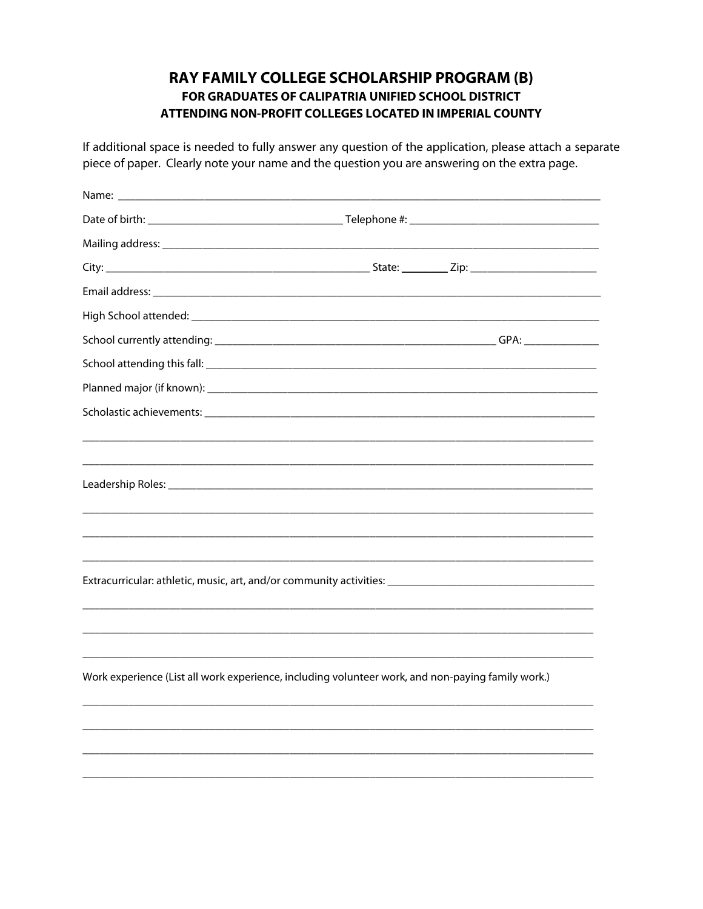# RAY FAMILY COLLEGE SCHOLARSHIP PROGRAM (B) FOR GRADUATES OF CALIPATRIA UNIFIED SCHOOL DISTRICT ATTENDING NON-PROFIT COLLEGES LOCATED IN IMPERIAL COUNTY

If additional space is needed to fully answer any question of the application, please attach a separate piece of paper. Clearly note your name and the question you are answering on the extra page.

| Extracurricular: athletic, music, art, and/or community activities: ________________________________ |  |
|------------------------------------------------------------------------------------------------------|--|
|                                                                                                      |  |
|                                                                                                      |  |
|                                                                                                      |  |
| Work experience (List all work experience, including volunteer work, and non-paying family work.)    |  |
|                                                                                                      |  |
|                                                                                                      |  |
|                                                                                                      |  |
|                                                                                                      |  |
|                                                                                                      |  |